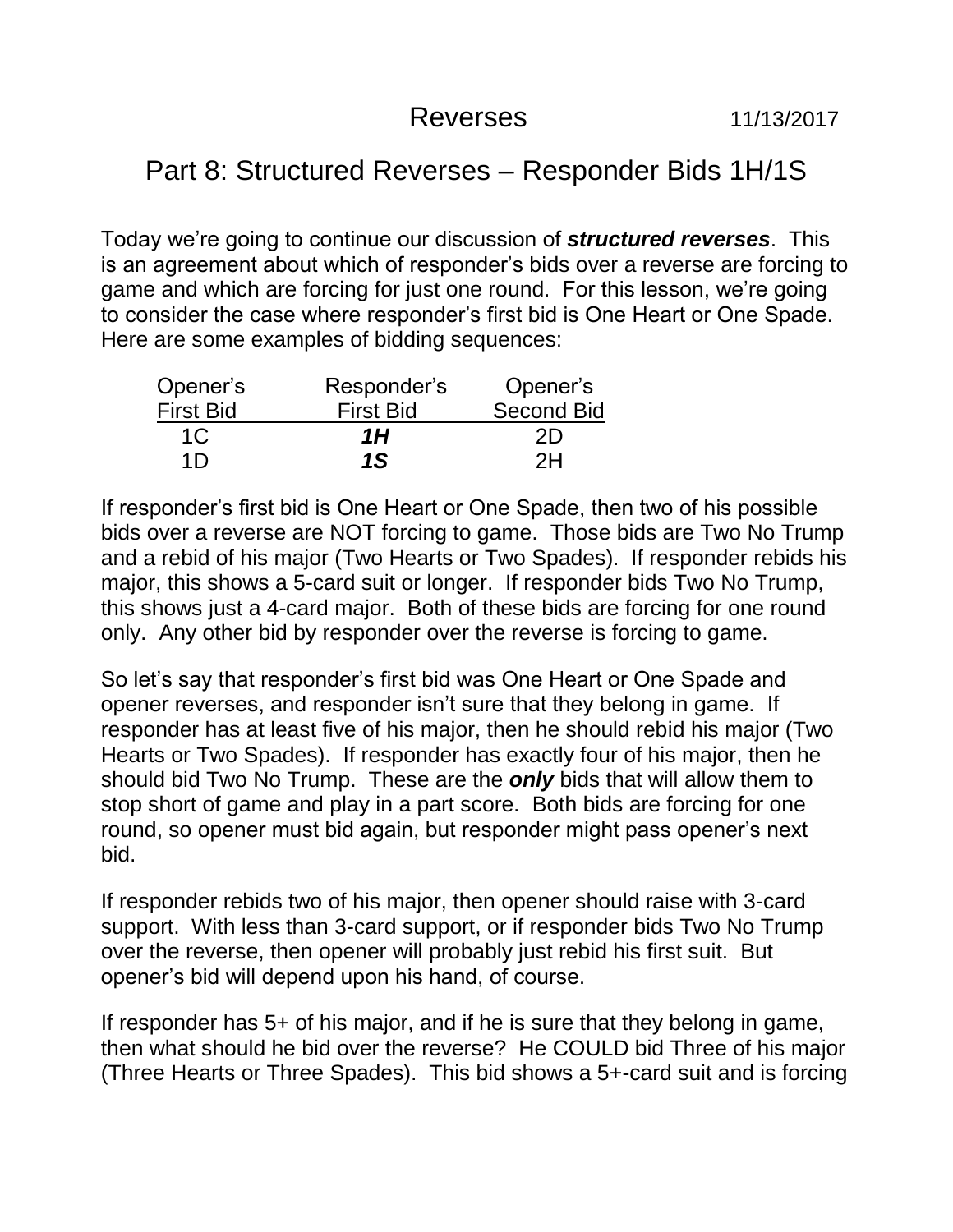## Reverses 11/13/2017

## Part 8: Structured Reverses – Responder Bids 1H/1S

Today we're going to continue our discussion of *structured reverses*. This is an agreement about which of responder's bids over a reverse are forcing to game and which are forcing for just one round. For this lesson, we're going to consider the case where responder's first bid is One Heart or One Spade. Here are some examples of bidding sequences:

| Opener's         | Responder's      | Opener's          |
|------------------|------------------|-------------------|
| <b>First Bid</b> | <b>First Bid</b> | <b>Second Bid</b> |
| 1C               | 1Н               | 2D                |
| 1 <sub>D</sub>   | 1S               | 2H                |

If responder's first bid is One Heart or One Spade, then two of his possible bids over a reverse are NOT forcing to game. Those bids are Two No Trump and a rebid of his major (Two Hearts or Two Spades). If responder rebids his major, this shows a 5-card suit or longer. If responder bids Two No Trump, this shows just a 4-card major. Both of these bids are forcing for one round only. Any other bid by responder over the reverse is forcing to game.

So let's say that responder's first bid was One Heart or One Spade and opener reverses, and responder isn't sure that they belong in game. If responder has at least five of his major, then he should rebid his major (Two Hearts or Two Spades). If responder has exactly four of his major, then he should bid Two No Trump. These are the *only* bids that will allow them to stop short of game and play in a part score. Both bids are forcing for one round, so opener must bid again, but responder might pass opener's next bid.

If responder rebids two of his major, then opener should raise with 3-card support. With less than 3-card support, or if responder bids Two No Trump over the reverse, then opener will probably just rebid his first suit. But opener's bid will depend upon his hand, of course.

If responder has 5+ of his major, and if he is sure that they belong in game, then what should he bid over the reverse? He COULD bid Three of his major (Three Hearts or Three Spades). This bid shows a 5+-card suit and is forcing